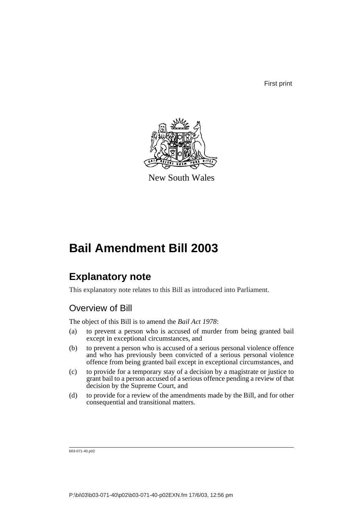First print



New South Wales

# **Bail Amendment Bill 2003**

## **Explanatory note**

This explanatory note relates to this Bill as introduced into Parliament.

## Overview of Bill

The object of this Bill is to amend the *Bail Act 1978*:

- (a) to prevent a person who is accused of murder from being granted bail except in exceptional circumstances, and
- (b) to prevent a person who is accused of a serious personal violence offence and who has previously been convicted of a serious personal violence offence from being granted bail except in exceptional circumstances, and
- (c) to provide for a temporary stay of a decision by a magistrate or justice to grant bail to a person accused of a serious offence pending a review of that decision by the Supreme Court, and
- (d) to provide for a review of the amendments made by the Bill, and for other consequential and transitional matters.

b03-071-40.p02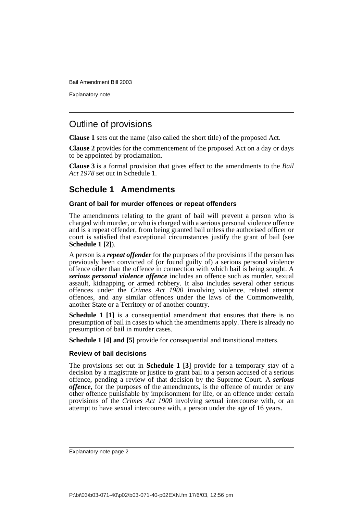Explanatory note

## Outline of provisions

**Clause 1** sets out the name (also called the short title) of the proposed Act.

**Clause 2** provides for the commencement of the proposed Act on a day or days to be appointed by proclamation.

**Clause 3** is a formal provision that gives effect to the amendments to the *Bail Act 1978* set out in Schedule 1.

## **Schedule 1 Amendments**

### **Grant of bail for murder offences or repeat offenders**

The amendments relating to the grant of bail will prevent a person who is charged with murder, or who is charged with a serious personal violence offence and is a repeat offender, from being granted bail unless the authorised officer or court is satisfied that exceptional circumstances justify the grant of bail (see **Schedule 1 [2]**).

A person is a *repeat offender* for the purposes of the provisions if the person has previously been convicted of (or found guilty of) a serious personal violence offence other than the offence in connection with which bail is being sought. A *serious personal violence offence* includes an offence such as murder, sexual assault, kidnapping or armed robbery. It also includes several other serious offences under the *Crimes Act 1900* involving violence, related attempt offences, and any similar offences under the laws of the Commonwealth, another State or a Territory or of another country.

**Schedule 1** [1] is a consequential amendment that ensures that there is no presumption of bail in cases to which the amendments apply. There is already no presumption of bail in murder cases.

**Schedule 1 [4] and [5]** provide for consequential and transitional matters.

### **Review of bail decisions**

The provisions set out in **Schedule 1 [3]** provide for a temporary stay of a decision by a magistrate or justice to grant bail to a person accused of a serious offence, pending a review of that decision by the Supreme Court. A *serious offence*, for the purposes of the amendments, is the offence of murder or any other offence punishable by imprisonment for life, or an offence under certain provisions of the *Crimes Act 1900* involving sexual intercourse with, or an attempt to have sexual intercourse with, a person under the age of 16 years.

Explanatory note page 2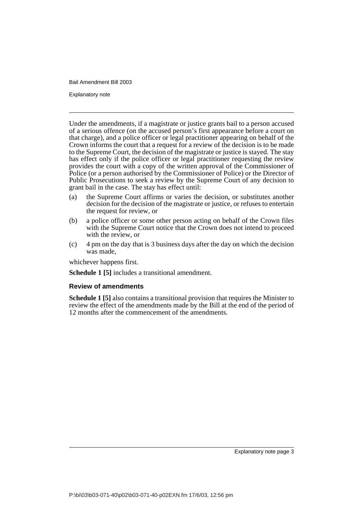Explanatory note

Under the amendments, if a magistrate or justice grants bail to a person accused of a serious offence (on the accused person's first appearance before a court on that charge), and a police officer or legal practitioner appearing on behalf of the Crown informs the court that a request for a review of the decision is to be made to the Supreme Court, the decision of the magistrate or justice is stayed. The stay has effect only if the police officer or legal practitioner requesting the review provides the court with a copy of the written approval of the Commissioner of Police (or a person authorised by the Commissioner of Police) or the Director of Public Prosecutions to seek a review by the Supreme Court of any decision to grant bail in the case. The stay has effect until:

- (a) the Supreme Court affirms or varies the decision, or substitutes another decision for the decision of the magistrate or justice, or refuses to entertain the request for review, or
- (b) a police officer or some other person acting on behalf of the Crown files with the Supreme Court notice that the Crown does not intend to proceed with the review, or
- (c) 4 pm on the day that is 3 business days after the day on which the decision was made,

whichever happens first.

**Schedule 1 [5]** includes a transitional amendment.

### **Review of amendments**

**Schedule 1 [5]** also contains a transitional provision that requires the Minister to review the effect of the amendments made by the Bill at the end of the period of 12 months after the commencement of the amendments.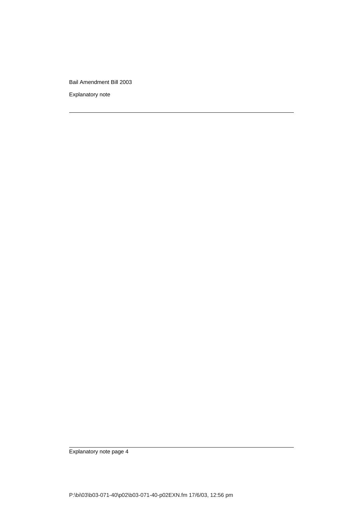Explanatory note

Explanatory note page 4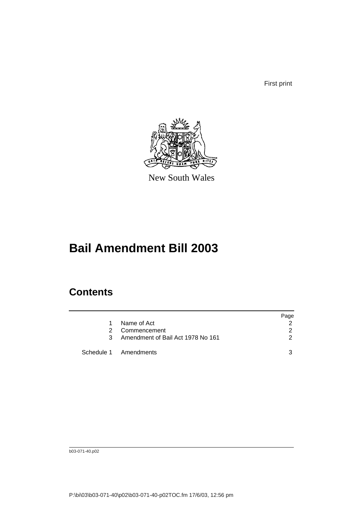First print



New South Wales

# **Bail Amendment Bill 2003**

## **Contents**

|    |                                     | Page          |
|----|-------------------------------------|---------------|
| 1. | Name of Act                         |               |
| 2  | Commencement                        | $\mathcal{P}$ |
|    | 3 Amendment of Bail Act 1978 No 161 | 2             |
|    | Schedule 1 Amendments               | વ             |

b03-071-40.p02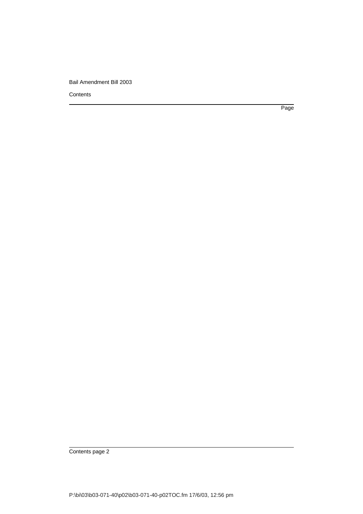**Contents** 

Page

Contents page 2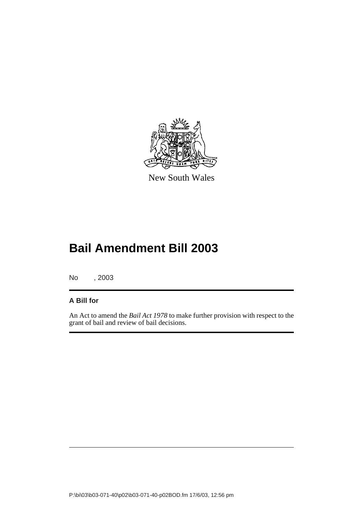

New South Wales

# **Bail Amendment Bill 2003**

No , 2003

### **A Bill for**

An Act to amend the *Bail Act 1978* to make further provision with respect to the grant of bail and review of bail decisions.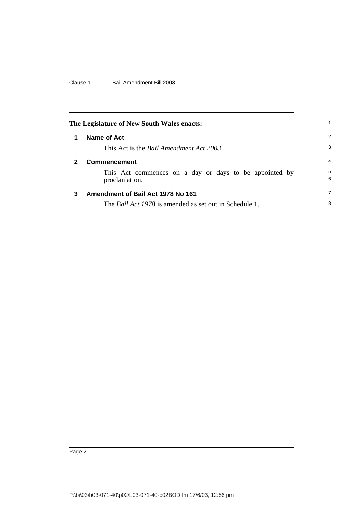Clause 1 Bail Amendment Bill 2003

<span id="page-7-2"></span><span id="page-7-1"></span><span id="page-7-0"></span>

|   | The Legislature of New South Wales enacts:                              |                |
|---|-------------------------------------------------------------------------|----------------|
| 1 | Name of Act                                                             | 2              |
|   | This Act is the <i>Bail Amendment Act 2003</i> .                        | 3              |
| 2 | <b>Commencement</b>                                                     | $\overline{4}$ |
|   | This Act commences on a day or days to be appointed by<br>proclamation. | 5<br>6         |
| 3 | Amendment of Bail Act 1978 No 161                                       | 7              |
|   | The <i>Bail Act 1978</i> is amended as set out in Schedule 1.           | 8              |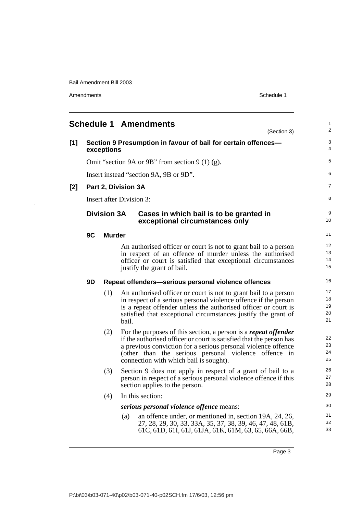Amendments Schedule 1

<span id="page-8-0"></span>

|       |           |                                 |       | <b>Schedule 1 Amendments</b><br>(Section 3)                                                                                                                                                                                                                                                               | 1<br>2                     |
|-------|-----------|---------------------------------|-------|-----------------------------------------------------------------------------------------------------------------------------------------------------------------------------------------------------------------------------------------------------------------------------------------------------------|----------------------------|
| $[1]$ |           | exceptions                      |       | Section 9 Presumption in favour of bail for certain offences-                                                                                                                                                                                                                                             | 3<br>4                     |
|       |           |                                 |       | Omit "section 9A or 9B" from section 9 (1) (g).                                                                                                                                                                                                                                                           | 5                          |
|       |           |                                 |       | Insert instead "section 9A, 9B or 9D".                                                                                                                                                                                                                                                                    | 6                          |
| $[2]$ |           | Part 2, Division 3A             |       |                                                                                                                                                                                                                                                                                                           | 7                          |
|       |           | <b>Insert after Division 3:</b> |       |                                                                                                                                                                                                                                                                                                           | 8                          |
|       |           | <b>Division 3A</b>              |       | Cases in which bail is to be granted in<br>exceptional circumstances only                                                                                                                                                                                                                                 | 9<br>10                    |
|       | 9C        | <b>Murder</b>                   |       |                                                                                                                                                                                                                                                                                                           | 11                         |
|       |           |                                 |       | An authorised officer or court is not to grant bail to a person<br>in respect of an offence of murder unless the authorised<br>officer or court is satisfied that exceptional circumstances<br>justify the grant of bail.                                                                                 | 12<br>13<br>14<br>15       |
|       | <b>9D</b> |                                 |       | Repeat offenders-serious personal violence offences                                                                                                                                                                                                                                                       | 16                         |
|       |           | (1)                             | bail. | An authorised officer or court is not to grant bail to a person<br>in respect of a serious personal violence offence if the person<br>is a repeat offender unless the authorised officer or court is<br>satisfied that exceptional circumstances justify the grant of                                     | 17<br>18<br>19<br>20<br>21 |
|       |           | (2)                             |       | For the purposes of this section, a person is a repeat offender<br>if the authorised officer or court is satisfied that the person has<br>a previous conviction for a serious personal violence offence<br>(other than the serious personal violence offence in<br>connection with which bail is sought). | 22<br>23<br>24<br>25       |
|       |           | (3)                             |       | Section 9 does not apply in respect of a grant of bail to a<br>person in respect of a serious personal violence offence if this<br>section applies to the person.                                                                                                                                         | 26<br>27<br>28             |
|       |           | (4)                             |       | In this section:                                                                                                                                                                                                                                                                                          | 29                         |
|       |           |                                 |       | serious personal violence offence means:                                                                                                                                                                                                                                                                  | 30                         |
|       |           |                                 | (a)   | an offence under, or mentioned in, section 19A, 24, 26,<br>27, 28, 29, 30, 33, 33A, 35, 37, 38, 39, 46, 47, 48, 61B,<br>61C, 61D, 61I, 61J, 61JA, 61K, 61M, 63, 65, 66A, 66B,                                                                                                                             | 31<br>32<br>33             |

Page 3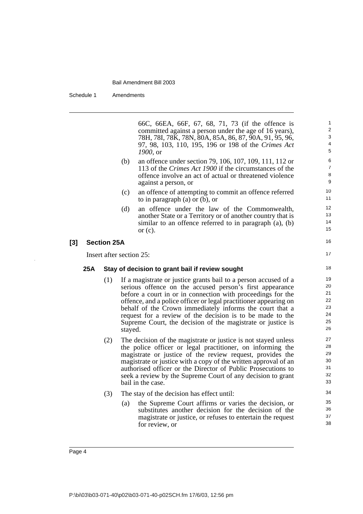Schedule 1 Amendments

66C, 66EA, 66F, 67, 68, 71, 73 (if the offence is committed against a person under the age of 16 years), 78H, 78I, 78K, 78N, 80A, 85A, 86, 87, 90A, 91, 95, 96, 97, 98, 103, 110, 195, 196 or 198 of the *Crimes Act 1900*, or

16

17

- (b) an offence under section 79, 106, 107, 109, 111, 112 or 113 of the *Crimes Act 1900* if the circumstances of the offence involve an act of actual or threatened violence against a person, or
- (c) an offence of attempting to commit an offence referred to in paragraph (a) or (b), or
- (d) an offence under the law of the Commonwealth, another State or a Territory or of another country that is similar to an offence referred to in paragraph (a), (b) or  $(c)$ .

#### **[3] Section 25A**

Insert after section 25:

#### **25A Stay of decision to grant bail if review sought**

- (1) If a magistrate or justice grants bail to a person accused of a serious offence on the accused person's first appearance before a court in or in connection with proceedings for the offence, and a police officer or legal practitioner appearing on behalf of the Crown immediately informs the court that a request for a review of the decision is to be made to the Supreme Court, the decision of the magistrate or justice is stayed.
- (2) The decision of the magistrate or justice is not stayed unless the police officer or legal practitioner, on informing the magistrate or justice of the review request, provides the magistrate or justice with a copy of the written approval of an authorised officer or the Director of Public Prosecutions to seek a review by the Supreme Court of any decision to grant bail in the case.
- (3) The stay of the decision has effect until:
	- (a) the Supreme Court affirms or varies the decision, or substitutes another decision for the decision of the magistrate or justice, or refuses to entertain the request for review, or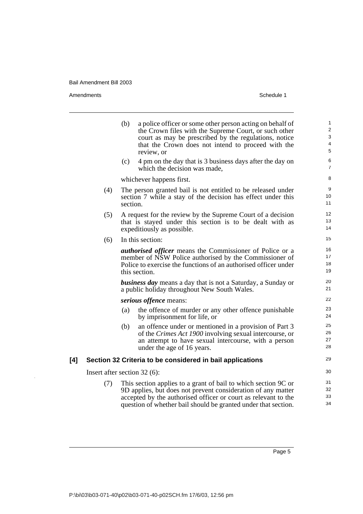Amendments Schedule 1

 $\ddot{\phantom{1}}$ 

|     |                                                           | (b)<br>a police officer or some other person acting on behalf of<br>the Crown files with the Supreme Court, or such other<br>court as may be prescribed by the regulations, notice<br>that the Crown does not intend to proceed with the<br>review, or<br>4 pm on the day that is 3 business days after the day on<br>(c) | 1<br>$\overline{\mathbf{c}}$<br>3<br>4<br>5<br>6 |
|-----|-----------------------------------------------------------|---------------------------------------------------------------------------------------------------------------------------------------------------------------------------------------------------------------------------------------------------------------------------------------------------------------------------|--------------------------------------------------|
|     |                                                           | which the decision was made,                                                                                                                                                                                                                                                                                              | 7                                                |
|     |                                                           | whichever happens first.                                                                                                                                                                                                                                                                                                  | 8                                                |
|     | (4)                                                       | The person granted bail is not entitled to be released under<br>section 7 while a stay of the decision has effect under this<br>section.                                                                                                                                                                                  | 9<br>10<br>11                                    |
|     | (5)                                                       | A request for the review by the Supreme Court of a decision<br>that is stayed under this section is to be dealt with as<br>expeditiously as possible.                                                                                                                                                                     | 12<br>13<br>14                                   |
|     | (6)                                                       | In this section:                                                                                                                                                                                                                                                                                                          | 15                                               |
|     |                                                           | <i>authorised officer</i> means the Commissioner of Police or a<br>member of NSW Police authorised by the Commissioner of<br>Police to exercise the functions of an authorised officer under<br>this section.                                                                                                             | 16<br>17<br>18<br>19                             |
|     |                                                           | <b>business day</b> means a day that is not a Saturday, a Sunday or<br>a public holiday throughout New South Wales.                                                                                                                                                                                                       | 20<br>21                                         |
|     |                                                           | serious offence means:                                                                                                                                                                                                                                                                                                    | 22                                               |
|     |                                                           | the offence of murder or any other offence punishable<br>(a)<br>by imprisonment for life, or                                                                                                                                                                                                                              | 23<br>24                                         |
|     |                                                           | (b)<br>an offence under or mentioned in a provision of Part 3<br>of the <i>Crimes Act 1900</i> involving sexual intercourse, or<br>an attempt to have sexual intercourse, with a person<br>under the age of 16 years.                                                                                                     | 25<br>26<br>27<br>28                             |
| [4] | Section 32 Criteria to be considered in bail applications |                                                                                                                                                                                                                                                                                                                           |                                                  |
|     | Insert after section $32(6)$ :                            |                                                                                                                                                                                                                                                                                                                           |                                                  |
|     | (7)                                                       | This section applies to a grant of bail to which section 9C or<br>9D applies, but does not prevent consideration of any matter<br>accepted by the authorised officer or court as relevant to the<br>question of whether bail should be granted under that section.                                                        | 31<br>32<br>33<br>34                             |

Page 5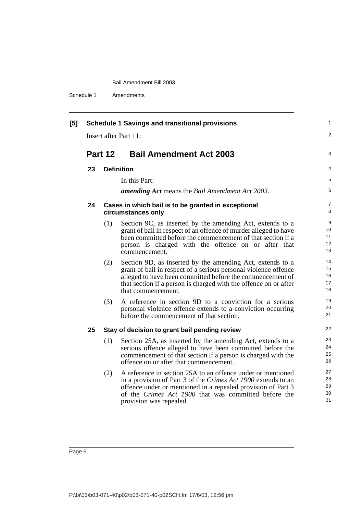Schedule 1 Amendments

| [5] |                       |         | <b>Schedule 1 Savings and transitional provisions</b>                                                                                                                                                                                                                               | $\mathbf{1}$               |
|-----|-----------------------|---------|-------------------------------------------------------------------------------------------------------------------------------------------------------------------------------------------------------------------------------------------------------------------------------------|----------------------------|
|     | Insert after Part 11: |         |                                                                                                                                                                                                                                                                                     | 2                          |
|     |                       | Part 12 | <b>Bail Amendment Act 2003</b>                                                                                                                                                                                                                                                      | 3                          |
|     | 23                    |         | <b>Definition</b>                                                                                                                                                                                                                                                                   | 4                          |
|     |                       |         | In this Part:                                                                                                                                                                                                                                                                       | 5                          |
|     |                       |         | <b>amending Act</b> means the Bail Amendment Act 2003.                                                                                                                                                                                                                              | 6                          |
|     | 24                    |         | Cases in which bail is to be granted in exceptional<br>circumstances only                                                                                                                                                                                                           | $\overline{7}$<br>8        |
|     |                       | (1)     | Section 9C, as inserted by the amending Act, extends to a<br>grant of bail in respect of an offence of murder alleged to have<br>been committed before the commencement of that section if a<br>person is charged with the offence on or after that<br>commencement.                | 9<br>10<br>11<br>12<br>13  |
|     |                       | (2)     | Section 9D, as inserted by the amending Act, extends to a<br>grant of bail in respect of a serious personal violence offence<br>alleged to have been committed before the commencement of<br>that section if a person is charged with the offence on or after<br>that commencement. | 14<br>15<br>16<br>17<br>18 |
|     |                       | (3)     | A reference in section 9D to a conviction for a serious<br>personal violence offence extends to a conviction occurring<br>before the commencement of that section.                                                                                                                  | 19<br>20<br>21             |
|     | 25                    |         | Stay of decision to grant bail pending review                                                                                                                                                                                                                                       | 22                         |
|     |                       | (1)     | Section 25A, as inserted by the amending Act, extends to a<br>serious offence alleged to have been committed before the<br>commencement of that section if a person is charged with the<br>offence on or after that commencement.                                                   | 23<br>24<br>25<br>26       |
|     |                       | (2)     | A reference in section 25A to an offence under or mentioned<br>in a provision of Part 3 of the Crimes Act 1900 extends to an<br>offence under or mentioned in a repealed provision of Part 3<br>of the Crimes Act 1900 that was committed before the<br>provision was repealed.     | 27<br>28<br>29<br>30<br>31 |